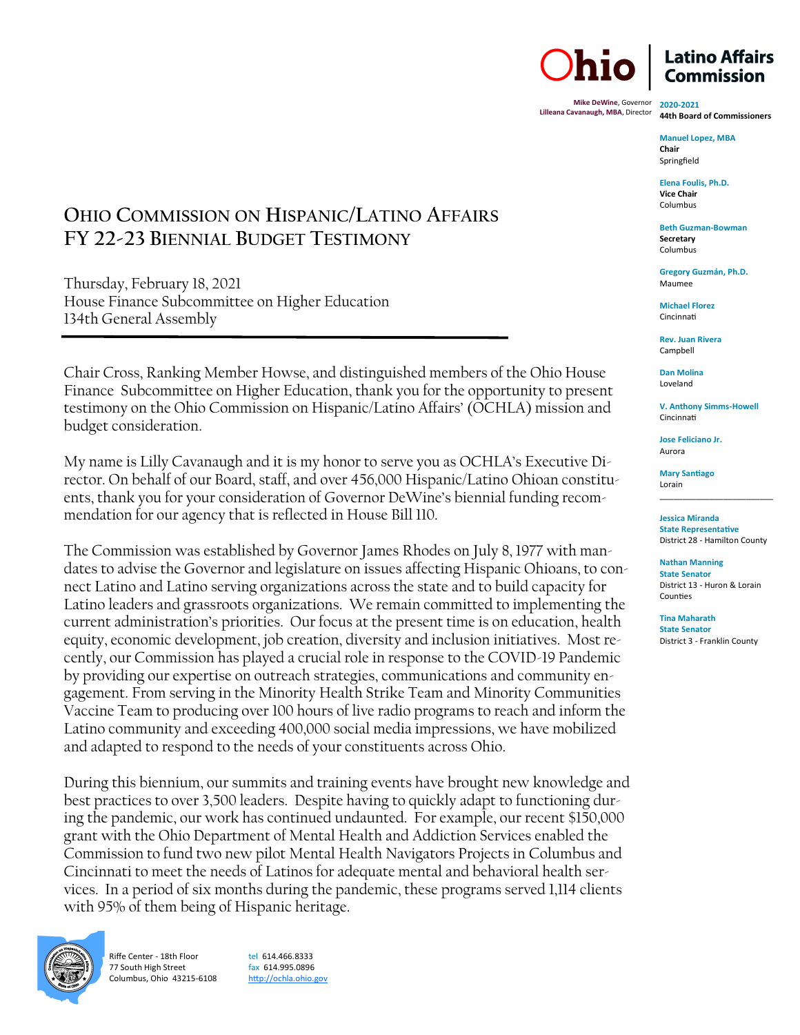**Mike DeWine**, Governor **Lilleana Cavanaugh, MBA**, Director

**2020-2021 44th Board of Commissioners**

**Manuel Lopez, MBA Chair** Springfield

**Elena Foulis, Ph.D. Vice Chair**  Columbus

**Beth Guzman-Bowman Secretary** Columbus

**Gregory Guzmán, Ph.D.** Maumee

**Michael Florez** Cincinnati

**Rev. Juan Rivera** Campbell

**Dan Molina**  Loveland

**V. Anthony Simms-Howell** Cincinnati

**Jose Feliciano Jr.** Aurora

**Mary Santiago** Lorain

**Jessica Miranda State Representative**  District 28 - Hamilton County

\_\_\_\_\_\_\_\_\_\_\_\_\_\_\_\_\_\_\_\_\_\_\_\_\_

**Nathan Manning State Senator** District 13 - Huron & Lorain Counties

**Tina Maharath State Senator** District 3 - Franklin County

## **OHIO COMMISSION ON HISPANIC/LATINO AFFAIRS FY 22-23 BIENNIAL BUDGET TESTIMONY**

Thursday, February 18, 2021 House Finance Subcommittee on Higher Education 134th General Assembly

Chair Cross, Ranking Member Howse, and distinguished members of the Ohio House Finance Subcommittee on Higher Education, thank you for the opportunity to present testimony on the Ohio Commission on Hispanic/Latino Affairs' (OCHLA) mission and budget consideration.

My name is Lilly Cavanaugh and it is my honor to serve you as OCHLA's Executive Director. On behalf of our Board, staff, and over 456,000 Hispanic/Latino Ohioan constituents, thank you for your consideration of Governor DeWine's biennial funding recommendation for our agency that is reflected in House Bill 110.

The Commission was established by Governor James Rhodes on July 8, 1977 with mandates to advise the Governor and legislature on issues affecting Hispanic Ohioans, to connect Latino and Latino serving organizations across the state and to build capacity for Latino leaders and grassroots organizations. We remain committed to implementing the current administration's priorities. Our focus at the present time is on education, health equity, economic development, job creation, diversity and inclusion initiatives. Most recently, our Commission has played a crucial role in response to the COVID-19 Pandemic by providing our expertise on outreach strategies, communications and community engagement. From serving in the Minority Health Strike Team and Minority Communities Vaccine Team to producing over 100 hours of live radio programs to reach and inform the Latino community and exceeding 400,000 social media impressions, we have mobilized and adapted to respond to the needs of your constituents across Ohio.

During this biennium, our summits and training events have brought new knowledge and best practices to over 3,500 leaders. Despite having to quickly adapt to functioning during the pandemic, our work has continued undaunted. For example, our recent \$150,000 grant with the Ohio Department of Mental Health and Addiction Services enabled the Commission to fund two new pilot Mental Health Navigators Projects in Columbus and Cincinnati to meet the needs of Latinos for adequate mental and behavioral health services. In a period of six months during the pandemic, these programs served 1,114 clients with 95% of them being of Hispanic heritage.



Riffe Center - 18th Floor 77 South High Street Columbus, Ohio 43215-6108 tel 614.466.8333 fax 614.995.0896 <http://ochla.ohio.gov>